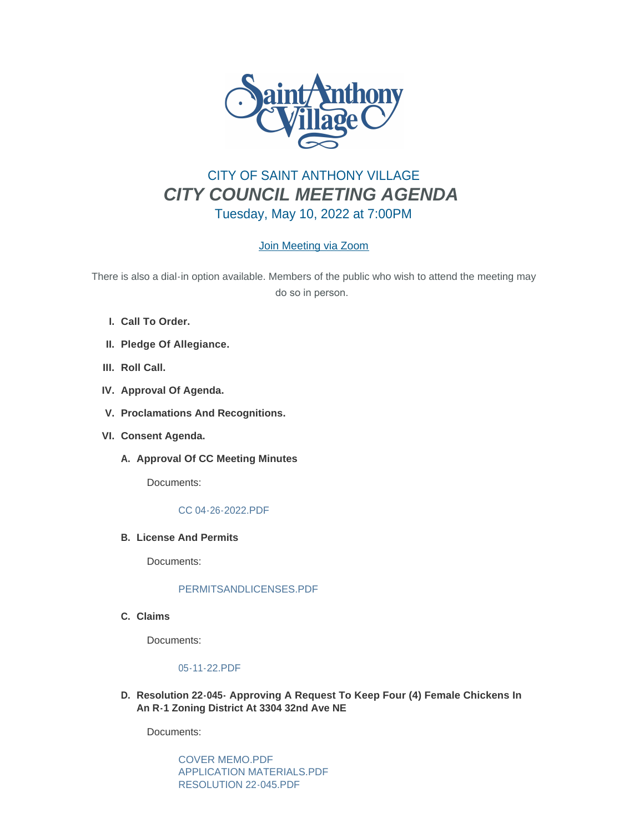

# CITY OF SAINT ANTHONY VILLAGE *CITY COUNCIL MEETING AGENDA* Tuesday, May 10, 2022 at 7:00PM

# [Join Meeting via Zoom](https://www.savmn.com/Calendar.aspx?EID=1572&month=5&year=2022&day=4&calType=0)

There is also a dial-in option available. Members of the public who wish to attend the meeting may do so in person.

- **Call To Order. I.**
- **Pledge Of Allegiance. II.**
- III. Roll Call.
- **Approval Of Agenda. IV.**
- **Proclamations And Recognitions. V.**
- **Consent Agenda. VI.**
	- A. Approval Of CC Meeting Minutes

Documents:

### [CC 04-26-2022.PDF](http://www.savmn.com/AgendaCenter/ViewFile/Item/959?fileID=6927)

**License And Permits B.**

Documents:

### [PERMITSANDLICENSES.PDF](http://www.savmn.com/AgendaCenter/ViewFile/Item/958?fileID=6926)

**Claims C.**

Documents:

# [05-11-22.PDF](http://www.savmn.com/AgendaCenter/ViewFile/Item/957?fileID=6925)

**Resolution 22-045- Approving A Request To Keep Four (4) Female Chickens In D. An R-1 Zoning District At 3304 32nd Ave NE**

Documents:

[COVER MEMO.PDF](http://www.savmn.com/AgendaCenter/ViewFile/Item/965?fileID=6939) [APPLICATION MATERIALS.PDF](http://www.savmn.com/AgendaCenter/ViewFile/Item/965?fileID=6936) [RESOLUTION 22-045.PDF](http://www.savmn.com/AgendaCenter/ViewFile/Item/965?fileID=6937)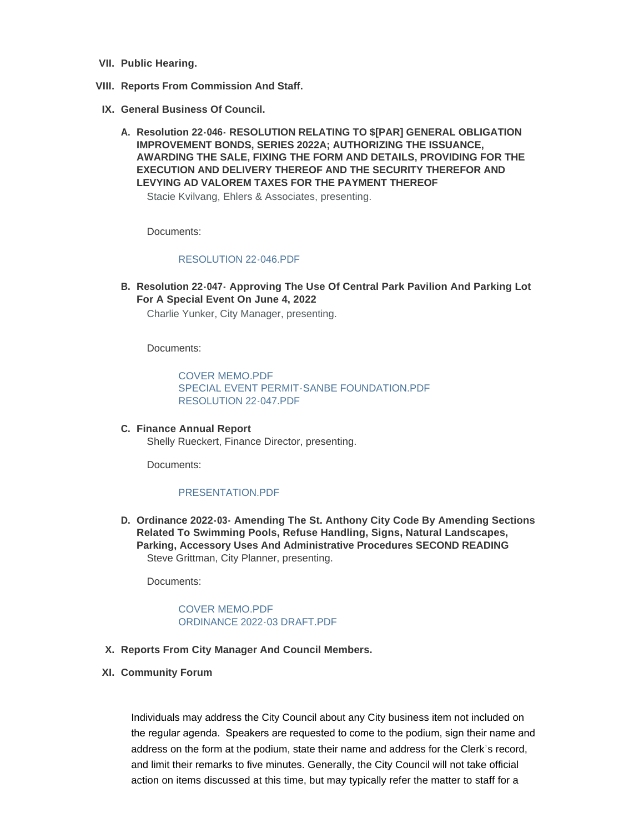- **Public Hearing. VII.**
- **Reports From Commission And Staff. VIII.**
- **General Business Of Council. IX.**
	- **Resolution 22-046- RESOLUTION RELATING TO \$[PAR] GENERAL OBLIGATION A. IMPROVEMENT BONDS, SERIES 2022A; AUTHORIZING THE ISSUANCE, AWARDING THE SALE, FIXING THE FORM AND DETAILS, PROVIDING FOR THE EXECUTION AND DELIVERY THEREOF AND THE SECURITY THEREFOR AND LEVYING AD VALOREM TAXES FOR THE PAYMENT THEREOF**

Stacie Kvilvang, Ehlers & Associates, presenting.

Documents:

#### [RESOLUTION 22-046.PDF](http://www.savmn.com/AgendaCenter/ViewFile/Item/963?fileID=6931)

**Resolution 22-047- Approving The Use Of Central Park Pavilion And Parking Lot B. For A Special Event On June 4, 2022**

Charlie Yunker, City Manager, presenting.

Documents:

[COVER MEMO.PDF](http://www.savmn.com/AgendaCenter/ViewFile/Item/961?fileID=6932) [SPECIAL EVENT PERMIT-SANBE FOUNDATION.PDF](http://www.savmn.com/AgendaCenter/ViewFile/Item/961?fileID=6933) [RESOLUTION 22-047.PDF](http://www.savmn.com/AgendaCenter/ViewFile/Item/961?fileID=6934)

**Finance Annual Report C.** Shelly Rueckert, Finance Director, presenting.

Documents:

## [PRESENTATION.PDF](http://www.savmn.com/AgendaCenter/ViewFile/Item/962?fileID=6930)

**Ordinance 2022-03- Amending The St. Anthony City Code By Amending Sections D. Related To Swimming Pools, Refuse Handling, Signs, Natural Landscapes, Parking, Accessory Uses And Administrative Procedures SECOND READING** Steve Grittman, City Planner, presenting.

Documents:

# [COVER MEMO.PDF](http://www.savmn.com/AgendaCenter/ViewFile/Item/964?fileID=6935) [ORDINANCE 2022-03 DRAFT.PDF](http://www.savmn.com/AgendaCenter/ViewFile/Item/964?fileID=6938)

- **Reports From City Manager And Council Members. X.**
- **Community Forum XI.**

Individuals may address the City Council about any City business item not included on the regular agenda. Speakers are requested to come to the podium, sign their name and address on the form at the podium, state their name and address for the Clerk's record, and limit their remarks to five minutes. Generally, the City Council will not take official action on items discussed at this time, but may typically refer the matter to staff for a